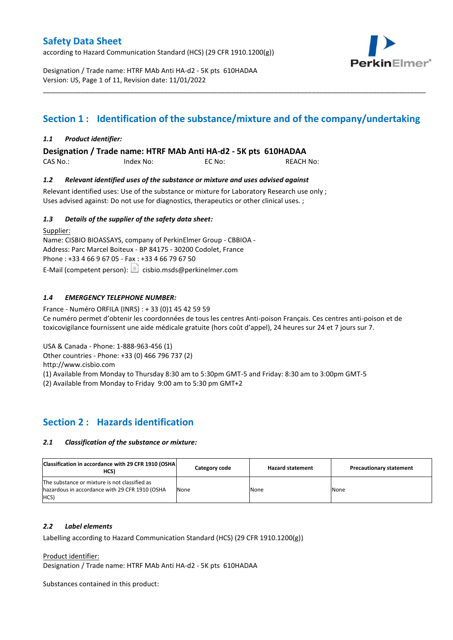according to Hazard Communication Standard (HCS) (29 CFR 1910.1200(g))



Designation / Trade name: HTRF MAb Anti HA-d2 - 5K pts 610HADAA Version: US, Page 1 of 11, Revision date: 11/01/2022

# **Section 1 : Identification of the substance/mixture and of the company/undertaking**

\_\_\_\_\_\_\_\_\_\_\_\_\_\_\_\_\_\_\_\_\_\_\_\_\_\_\_\_\_\_\_\_\_\_\_\_\_\_\_\_\_\_\_\_\_\_\_\_\_\_\_\_\_\_\_\_\_\_\_\_\_\_\_\_\_\_\_\_\_\_\_\_\_\_\_\_\_\_\_\_\_\_\_\_\_\_\_\_\_\_\_\_\_\_\_\_\_\_\_\_\_

### *1.1 Product identifier:*

**Designation / Trade name: HTRF MAb Anti HA-d2 - 5K pts 610HADAA** 

| CAS No.: | Index No: | EC No: | <b>REACH No:</b> |
|----------|-----------|--------|------------------|
|          |           |        |                  |

### *1.2 Relevant identified uses of the substance or mixture and uses advised against*

Relevant identified uses: Use of the substance or mixture for Laboratory Research use only ; Uses advised against: Do not use for diagnostics, therapeutics or other clinical uses. ;

### *1.3 Details of the supplier of the safety data sheet:*

Supplier: Name: CISBIO BIOASSAYS, company of PerkinElmer Group - CBBIOA - Address: Parc Marcel Boiteux - BP 84175 - 30200 Codolet, France Phone : +33 4 66 9 67 05 - Fax : +33 4 66 79 67 50 E-Mail (competent person):  $\boxed{\equiv}$  cisbio.msds@perkinelmer.com

### *1.4 EMERGENCY TELEPHONE NUMBER:*

France - Numéro ORFILA (INRS) : + 33 (0)1 45 42 59 59 Ce numéro permet d'obtenir les coordonnées de tous les centres Anti-poison Français. Ces centres anti-poison et de toxicovigilance fournissent une aide médicale gratuite (hors coût d'appel), 24 heures sur 24 et 7 jours sur 7.

USA & Canada - Phone: 1-888-963-456 (1)

Other countries - Phone: +33 (0) 466 796 737 (2)

http://www.cisbio.com

(1) Available from Monday to Thursday 8:30 am to 5:30pm GMT-5 and Friday: 8:30 am to 3:00pm GMT-5

(2) Available from Monday to Friday 9:00 am to 5:30 pm GMT+2

### **Section 2 : Hazards identification**

#### *2.1 Classification of the substance or mixture:*

| Classification in accordance with 29 CFR 1910 (OSHA)<br>HCS)                                            | Category code | <b>Hazard statement</b> | <b>Precautionary statement</b> |
|---------------------------------------------------------------------------------------------------------|---------------|-------------------------|--------------------------------|
| The substance or mixture is not classified as<br>hazardous in accordance with 29 CFR 1910 (OSHA<br>HCS) | None          | None                    | None                           |

#### *2.2 Label elements*

Labelling according to Hazard Communication Standard (HCS) (29 CFR 1910.1200(g))

Product identifier:

Designation / Trade name: HTRF MAb Anti HA-d2 - 5K pts 610HADAA

Substances contained in this product: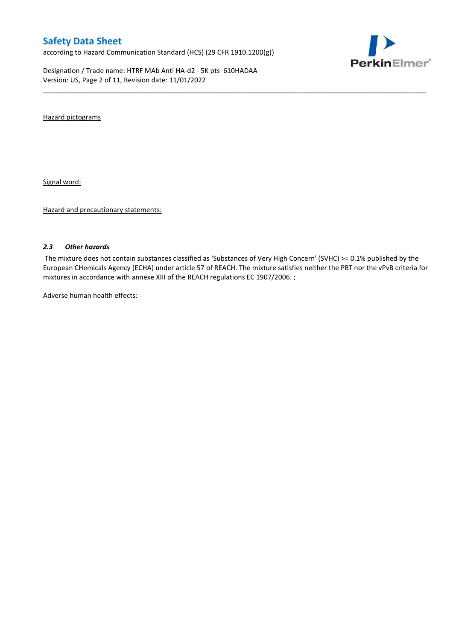according to Hazard Communication Standard (HCS) (29 CFR 1910.1200(g))

Designation / Trade name: HTRF MAb Anti HA-d2 - 5K pts 610HADAA Version: US, Page 2 of 11, Revision date: 11/01/2022



Hazard pictograms

Signal word:

Hazard and precautionary statements:

#### *2.3 Other hazards*

The mixture does not contain substances classified as 'Substances of Very High Concern' (SVHC) >= 0.1% published by the European CHemicals Agency (ECHA) under article 57 of REACH. The mixture satisfies neither the PBT nor the vPvB criteria for mixtures in accordance with annexe XIII of the REACH regulations EC 1907/2006. ;

\_\_\_\_\_\_\_\_\_\_\_\_\_\_\_\_\_\_\_\_\_\_\_\_\_\_\_\_\_\_\_\_\_\_\_\_\_\_\_\_\_\_\_\_\_\_\_\_\_\_\_\_\_\_\_\_\_\_\_\_\_\_\_\_\_\_\_\_\_\_\_\_\_\_\_\_\_\_\_\_\_\_\_\_\_\_\_\_\_\_\_\_\_\_\_\_\_\_\_\_\_

Adverse human health effects: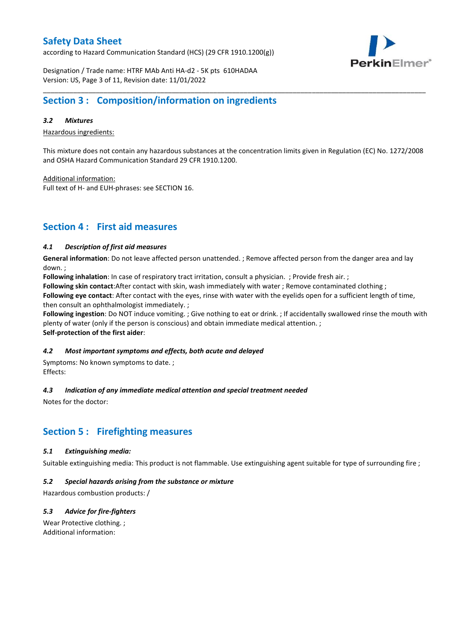according to Hazard Communication Standard (HCS) (29 CFR 1910.1200(g))



Designation / Trade name: HTRF MAb Anti HA-d2 - 5K pts 610HADAA Version: US, Page 3 of 11, Revision date: 11/01/2022

### **Section 3 : Composition/information on ingredients**

### *3.2 Mixtures*

Hazardous ingredients:

This mixture does not contain any hazardous substances at the concentration limits given in Regulation (EC) No. 1272/2008 and OSHA Hazard Communication Standard 29 CFR 1910.1200.

\_\_\_\_\_\_\_\_\_\_\_\_\_\_\_\_\_\_\_\_\_\_\_\_\_\_\_\_\_\_\_\_\_\_\_\_\_\_\_\_\_\_\_\_\_\_\_\_\_\_\_\_\_\_\_\_\_\_\_\_\_\_\_\_\_\_\_\_\_\_\_\_\_\_\_\_\_\_\_\_\_\_\_\_\_\_\_\_\_\_\_\_\_\_\_\_\_\_\_\_\_

Additional information:

Full text of H- and EUH-phrases: see SECTION 16.

### **Section 4 : First aid measures**

### *4.1 Description of first aid measures*

**General information**: Do not leave affected person unattended. ; Remove affected person from the danger area and lay down. ;

**Following inhalation**: In case of respiratory tract irritation, consult a physician. ; Provide fresh air. ;

**Following skin contact**:After contact with skin, wash immediately with water ; Remove contaminated clothing ;

**Following eye contact**: After contact with the eyes, rinse with water with the eyelids open for a sufficient length of time, then consult an ophthalmologist immediately. ;

**Following ingestion**: Do NOT induce vomiting. ; Give nothing to eat or drink. ; If accidentally swallowed rinse the mouth with plenty of water (only if the person is conscious) and obtain immediate medical attention. ; **Self-protection of the first aider**:

#### *4.2 Most important symptoms and effects, both acute and delayed*

Symptoms: No known symptoms to date. ; Effects:

### *4.3 Indication of any immediate medical attention and special treatment needed*

Notes for the doctor:

# **Section 5 : Firefighting measures**

#### *5.1 Extinguishing media:*

Suitable extinguishing media: This product is not flammable. Use extinguishing agent suitable for type of surrounding fire ;

#### *5.2 Special hazards arising from the substance or mixture*

Hazardous combustion products: /

### *5.3 Advice for fire-fighters*

Wear Protective clothing. ; Additional information: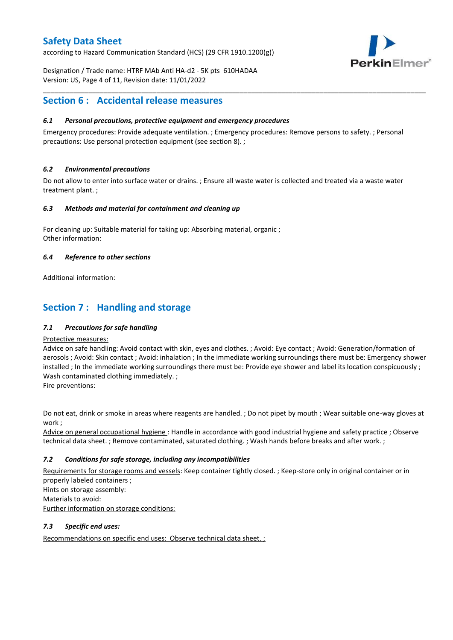according to Hazard Communication Standard (HCS) (29 CFR 1910.1200(g))



Designation / Trade name: HTRF MAb Anti HA-d2 - 5K pts 610HADAA Version: US, Page 4 of 11, Revision date: 11/01/2022

### **Section 6 : Accidental release measures**

### *6.1 Personal precautions, protective equipment and emergency procedures*

Emergency procedures: Provide adequate ventilation. ; Emergency procedures: Remove persons to safety. ; Personal precautions: Use personal protection equipment (see section 8). ;

\_\_\_\_\_\_\_\_\_\_\_\_\_\_\_\_\_\_\_\_\_\_\_\_\_\_\_\_\_\_\_\_\_\_\_\_\_\_\_\_\_\_\_\_\_\_\_\_\_\_\_\_\_\_\_\_\_\_\_\_\_\_\_\_\_\_\_\_\_\_\_\_\_\_\_\_\_\_\_\_\_\_\_\_\_\_\_\_\_\_\_\_\_\_\_\_\_\_\_\_\_

### *6.2 Environmental precautions*

Do not allow to enter into surface water or drains. ; Ensure all waste water is collected and treated via a waste water treatment plant. ;

#### *6.3 Methods and material for containment and cleaning up*

For cleaning up: Suitable material for taking up: Absorbing material, organic ; Other information:

### *6.4 Reference to other sections*

Additional information:

# **Section 7 : Handling and storage**

### *7.1 Precautions for safe handling*

#### Protective measures:

Advice on safe handling: Avoid contact with skin, eyes and clothes. ; Avoid: Eye contact ; Avoid: Generation/formation of aerosols ; Avoid: Skin contact ; Avoid: inhalation ; In the immediate working surroundings there must be: Emergency shower installed ; In the immediate working surroundings there must be: Provide eye shower and label its location conspicuously; Wash contaminated clothing immediately. ;

Fire preventions:

Do not eat, drink or smoke in areas where reagents are handled. ; Do not pipet by mouth ; Wear suitable one-way gloves at work ;

Advice on general occupational hygiene : Handle in accordance with good industrial hygiene and safety practice ; Observe technical data sheet. ; Remove contaminated, saturated clothing. ; Wash hands before breaks and after work. ;

### *7.2 Conditions for safe storage, including any incompatibilities*

Requirements for storage rooms and vessels: Keep container tightly closed. ; Keep-store only in original container or in properly labeled containers ; Hints on storage assembly: Materials to avoid:

Further information on storage conditions:

### *7.3 Specific end uses:*

Recommendations on specific end uses: Observe technical data sheet. ;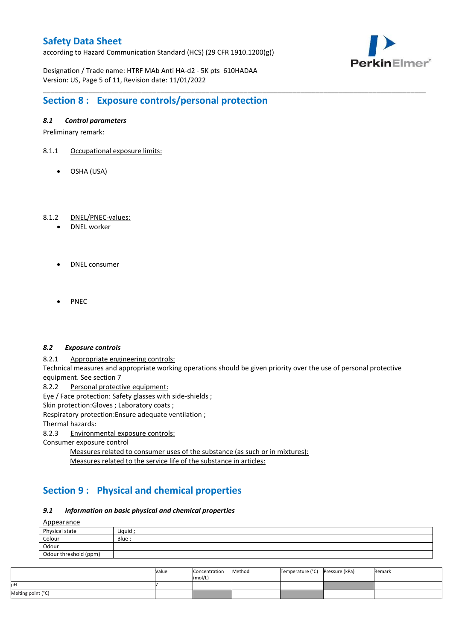according to Hazard Communication Standard (HCS) (29 CFR 1910.1200(g))



Designation / Trade name: HTRF MAb Anti HA-d2 - 5K pts 610HADAA Version: US, Page 5 of 11, Revision date: 11/01/2022

# **Section 8 : Exposure controls/personal protection**

### *8.1 Control parameters*

Preliminary remark:

- 8.1.1 Occupational exposure limits:
	- OSHA (USA)

### 8.1.2 DNEL/PNEC-values:

- DNEL worker
- DNEL consumer
- **PNFC**

#### *8.2 Exposure controls*

8.2.1 Appropriate engineering controls:

Technical measures and appropriate working operations should be given priority over the use of personal protective equipment. See section 7

\_\_\_\_\_\_\_\_\_\_\_\_\_\_\_\_\_\_\_\_\_\_\_\_\_\_\_\_\_\_\_\_\_\_\_\_\_\_\_\_\_\_\_\_\_\_\_\_\_\_\_\_\_\_\_\_\_\_\_\_\_\_\_\_\_\_\_\_\_\_\_\_\_\_\_\_\_\_\_\_\_\_\_\_\_\_\_\_\_\_\_\_\_\_\_\_\_\_\_\_\_

8.2.2 Personal protective equipment:

Eye / Face protection: Safety glasses with side-shields ;

Skin protection: Gloves ; Laboratory coats ;

Respiratory protection:Ensure adequate ventilation ;

Thermal hazards:

8.2.3 Environmental exposure controls:

Consumer exposure control

Measures related to consumer uses of the substance (as such or in mixtures): Measures related to the service life of the substance in articles:

# **Section 9 : Physical and chemical properties**

#### *9.1 Information on basic physical and chemical properties*

**A**ppearance

| <u>rippedrunce</u>    |        |
|-----------------------|--------|
| Physical state        | Liguid |
| Colour                | Blue ; |
| Odour                 |        |
| Odour threshold (ppm) |        |

|                    | Value | Concentration<br>(mol/L) | Method | Temperature (°C) | Pressure (kPa) | Remark |
|--------------------|-------|--------------------------|--------|------------------|----------------|--------|
| pН                 |       |                          |        |                  |                |        |
| Melting point (°C) |       |                          |        |                  |                |        |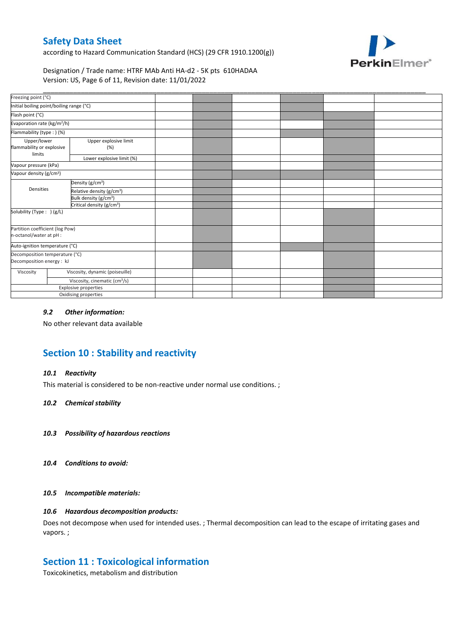according to Hazard Communication Standard (HCS) (29 CFR 1910.1200(g))



Designation / Trade name: HTRF MAb Anti HA-d2 - 5K pts 610HADAA Version: US, Page 6 of 11, Revision date: 11/01/2022

| Freezing point (°C)                                         |                              |                                                                                                                                                                                                                                                                                        |  |  |  |
|-------------------------------------------------------------|------------------------------|----------------------------------------------------------------------------------------------------------------------------------------------------------------------------------------------------------------------------------------------------------------------------------------|--|--|--|
|                                                             |                              |                                                                                                                                                                                                                                                                                        |  |  |  |
|                                                             |                              |                                                                                                                                                                                                                                                                                        |  |  |  |
| Evaporation rate (kg/m <sup>2</sup> /h)                     |                              |                                                                                                                                                                                                                                                                                        |  |  |  |
| Flammability (type: ) (%)                                   |                              |                                                                                                                                                                                                                                                                                        |  |  |  |
| Upper/lower<br>flammability or explosive                    | Upper explosive limit<br>(%) |                                                                                                                                                                                                                                                                                        |  |  |  |
|                                                             | Lower explosive limit (%)    |                                                                                                                                                                                                                                                                                        |  |  |  |
| Vapour pressure (kPa)                                       |                              |                                                                                                                                                                                                                                                                                        |  |  |  |
| Vapour density (g/cm <sup>3</sup> )                         |                              |                                                                                                                                                                                                                                                                                        |  |  |  |
|                                                             |                              |                                                                                                                                                                                                                                                                                        |  |  |  |
| Densities                                                   |                              |                                                                                                                                                                                                                                                                                        |  |  |  |
|                                                             |                              |                                                                                                                                                                                                                                                                                        |  |  |  |
| Critical density (g/cm <sup>3</sup> )                       |                              |                                                                                                                                                                                                                                                                                        |  |  |  |
| Solubility (Type: ) (g/L)                                   |                              |                                                                                                                                                                                                                                                                                        |  |  |  |
| Partition coefficient (log Pow)<br>n-octanol/water at pH :  |                              |                                                                                                                                                                                                                                                                                        |  |  |  |
| Auto-ignition temperature (°C)                              |                              |                                                                                                                                                                                                                                                                                        |  |  |  |
| Decomposition temperature (°C)<br>Decomposition energy : kJ |                              |                                                                                                                                                                                                                                                                                        |  |  |  |
|                                                             |                              |                                                                                                                                                                                                                                                                                        |  |  |  |
|                                                             |                              |                                                                                                                                                                                                                                                                                        |  |  |  |
|                                                             |                              |                                                                                                                                                                                                                                                                                        |  |  |  |
|                                                             |                              |                                                                                                                                                                                                                                                                                        |  |  |  |
|                                                             |                              | Initial boiling point/boiling range (°C)<br>Density (g/cm <sup>3</sup> )<br>Relative density (g/cm <sup>3</sup> )<br>Bulk density (g/cm <sup>3</sup> )<br>Viscosity, dynamic (poiseuille)<br>Viscosity, cinematic (cm <sup>3</sup> /s)<br>Explosive properties<br>Oxidising properties |  |  |  |

### *9.2 Other information:*

No other relevant data available

# **Section 10 : Stability and reactivity**

#### *10.1 Reactivity*

This material is considered to be non-reactive under normal use conditions. ;

#### *10.2 Chemical stability*

- *10.3 Possibility of hazardous reactions*
- *10.4 Conditions to avoid:*

#### *10.5 Incompatible materials:*

### *10.6 Hazardous decomposition products:*

Does not decompose when used for intended uses. ; Thermal decomposition can lead to the escape of irritating gases and vapors. ;

### **Section 11 : Toxicological information**

Toxicokinetics, metabolism and distribution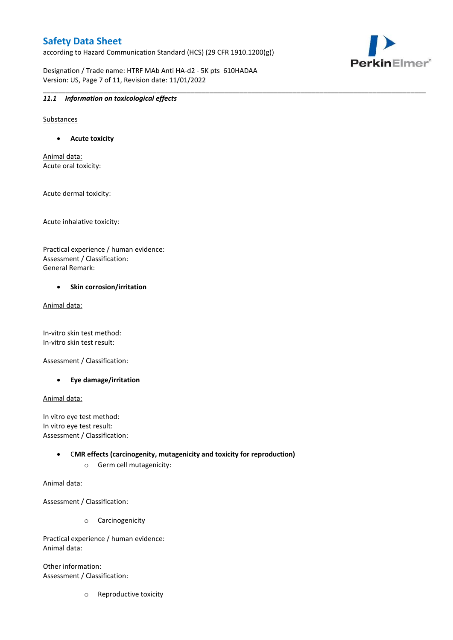according to Hazard Communication Standard (HCS) (29 CFR 1910.1200(g))

\_\_\_\_\_\_\_\_\_\_\_\_\_\_\_\_\_\_\_\_\_\_\_\_\_\_\_\_\_\_\_\_\_\_\_\_\_\_\_\_\_\_\_\_\_\_\_\_\_\_\_\_\_\_\_\_\_\_\_\_\_\_\_\_\_\_\_\_\_\_\_\_\_\_\_\_\_\_\_\_\_\_\_\_\_\_\_\_\_\_\_\_\_\_\_\_\_\_\_\_\_

Designation / Trade name: HTRF MAb Anti HA-d2 - 5K pts 610HADAA Version: US, Page 7 of 11, Revision date: 11/01/2022



### *11.1 Information on toxicological effects*

Substances

**Acute toxicity**

Animal data: Acute oral toxicity:

Acute dermal toxicity:

Acute inhalative toxicity:

Practical experience / human evidence: Assessment / Classification: General Remark:

#### **•** Skin corrosion/irritation

Animal data:

In-vitro skin test method: In-vitro skin test result:

Assessment / Classification:

**Eye damage/irritation**

Animal data:

In vitro eye test method: In vitro eye test result: Assessment / Classification:

> C**MR effects (carcinogenity, mutagenicity and toxicity for reproduction)** o Germ cell mutagenicity:

Animal data:

Assessment / Classification:

o Carcinogenicity

Practical experience / human evidence: Animal data:

Other information: Assessment / Classification:

o Reproductive toxicity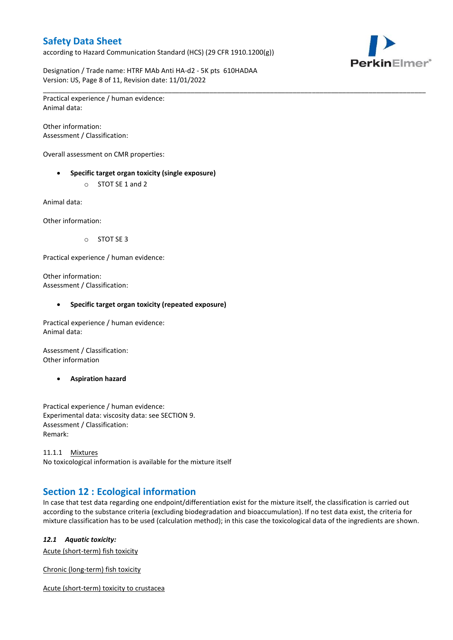according to Hazard Communication Standard (HCS) (29 CFR 1910.1200(g))



Designation / Trade name: HTRF MAb Anti HA-d2 - 5K pts 610HADAA Version: US, Page 8 of 11, Revision date: 11/01/2022

\_\_\_\_\_\_\_\_\_\_\_\_\_\_\_\_\_\_\_\_\_\_\_\_\_\_\_\_\_\_\_\_\_\_\_\_\_\_\_\_\_\_\_\_\_\_\_\_\_\_\_\_\_\_\_\_\_\_\_\_\_\_\_\_\_\_\_\_\_\_\_\_\_\_\_\_\_\_\_\_\_\_\_\_\_\_\_\_\_\_\_\_\_\_\_\_\_\_\_\_\_ Practical experience / human evidence: Animal data:

Other information: Assessment / Classification:

Overall assessment on CMR properties:

- **Specific target organ toxicity (single exposure)**
	- o STOT SE 1 and 2

Animal data:

Other information:

o STOT SE 3

Practical experience / human evidence:

Other information: Assessment / Classification:

#### **Specific target organ toxicity (repeated exposure)**

Practical experience / human evidence: Animal data:

Assessment / Classification: Other information

**Aspiration hazard**

Practical experience / human evidence: Experimental data: viscosity data: see SECTION 9. Assessment / Classification: Remark:

11.1.1 Mixtures No toxicological information is available for the mixture itself

# **Section 12 : Ecological information**

In case that test data regarding one endpoint/differentiation exist for the mixture itself, the classification is carried out according to the substance criteria (excluding biodegradation and bioaccumulation). If no test data exist, the criteria for mixture classification has to be used (calculation method); in this case the toxicological data of the ingredients are shown.

#### *12.1 Aquatic toxicity:*

Acute (short-term) fish toxicity

Chronic (long-term) fish toxicity

Acute (short-term) toxicity to crustacea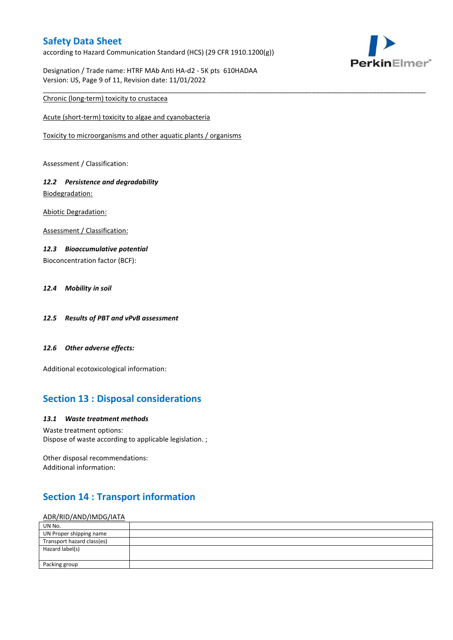according to Hazard Communication Standard (HCS) (29 CFR 1910.1200(g))

\_\_\_\_\_\_\_\_\_\_\_\_\_\_\_\_\_\_\_\_\_\_\_\_\_\_\_\_\_\_\_\_\_\_\_\_\_\_\_\_\_\_\_\_\_\_\_\_\_\_\_\_\_\_\_\_\_\_\_\_\_\_\_\_\_\_\_\_\_\_\_\_\_\_\_\_\_\_\_\_\_\_\_\_\_\_\_\_\_\_\_\_\_\_\_\_\_\_\_\_\_



Designation / Trade name: HTRF MAb Anti HA-d2 - 5K pts 610HADAA Version: US, Page 9 of 11, Revision date: 11/01/2022

### Chronic (long-term) toxicity to crustacea

Acute (short-term) toxicity to algae and cyanobacteria

Toxicity to microorganisms and other aquatic plants / organisms

Assessment / Classification:

### *12.2 Persistence and degradability* Biodegradation:

Abiotic Degradation:

Assessment / Classification:

### *12.3 Bioaccumulative potential*

Bioconcentration factor (BCF):

### *12.4 Mobility in soil*

- *12.5 Results of PBT and vPvB assessment*
- *12.6 Other adverse effects:*

Additional ecotoxicological information:

# **Section 13 : Disposal considerations**

#### *13.1 Waste treatment methods*

Waste treatment options: Dispose of waste according to applicable legislation. ;

Other disposal recommendations: Additional information:

# **Section 14 : Transport information**

#### ADR/RID/AND/IMDG/IATA

| UN No.                     |  |
|----------------------------|--|
| UN Proper shipping name    |  |
| Transport hazard class(es) |  |
| Hazard label(s)            |  |
|                            |  |
| Packing group              |  |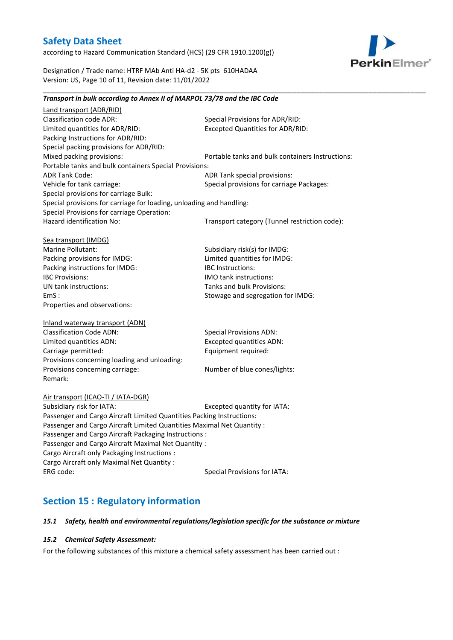according to Hazard Communication Standard (HCS) (29 CFR 1910.1200(g))



Designation / Trade name: HTRF MAb Anti HA-d2 - 5K pts 610HADAA Version: US, Page 10 of 11, Revision date: 11/01/2022

### *Transport in bulk according to Annex II of MARPOL 73/78 and the IBC Code*

\_\_\_\_\_\_\_\_\_\_\_\_\_\_\_\_\_\_\_\_\_\_\_\_\_\_\_\_\_\_\_\_\_\_\_\_\_\_\_\_\_\_\_\_\_\_\_\_\_\_\_\_\_\_\_\_\_\_\_\_\_\_\_\_\_\_\_\_\_\_\_\_\_\_\_\_\_\_\_\_\_\_\_\_\_\_\_\_\_\_\_\_\_\_\_\_\_\_\_\_\_

Land transport (ADR/RID) Classification code ADR: Special Provisions for ADR/RID:<br>
Limited quantities for ADR/RID: Excepted Quantities for ADR/RI Excepted Quantities for ADR/RID: Packing Instructions for ADR/RID: Special packing provisions for ADR/RID: Mixed packing provisions: Portable tanks and bulk containers Instructions: Portable tanks and bulk containers Special Provisions: ADR Tank Code: ADR Tank special provisions: Vehicle for tank carriage:  $S$  Special provisions for carriage Packages: Special provisions for carriage Bulk: Special provisions for carriage for loading, unloading and handling: Special Provisions for carriage Operation: Hazard identification No: Transport category (Tunnel restriction code): Sea transport (IMDG) Marine Pollutant: Subsidiary risk(s) for IMDG: Packing provisions for IMDG: Limited quantities for IMDG: Packing instructions for IMDG: IBC Instructions: IBC Provisions: IMO tank instructions: UN tank instructions: Tanks and bulk Provisions: EmS : Stowage and segregation for IMDG: Properties and observations: Inland waterway transport (ADN) Classification Code ADN: Special Provisions ADN: Limited quantities ADN: Excepted quantities ADN: Carriage permitted: Carriage permitted: Provisions concerning loading and unloading: Provisions concerning carriage: Number of blue cones/lights: Remark: Air transport (ICAO-TI / IATA-DGR) Subsidiary risk for IATA: Excepted quantity for IATA: Passenger and Cargo Aircraft Limited Quantities Packing Instructions: Passenger and Cargo Aircraft Limited Quantities Maximal Net Quantity : Passenger and Cargo Aircraft Packaging Instructions : Passenger and Cargo Aircraft Maximal Net Quantity : Cargo Aircraft only Packaging Instructions : Cargo Aircraft only Maximal Net Quantity : ERG code: Special Provisions for IATA:

# **Section 15 : Regulatory information**

#### *15.1 Safety, health and environmental regulations/legislation specific for the substance or mixture*

#### *15.2 Chemical Safety Assessment:*

For the following substances of this mixture a chemical safety assessment has been carried out :